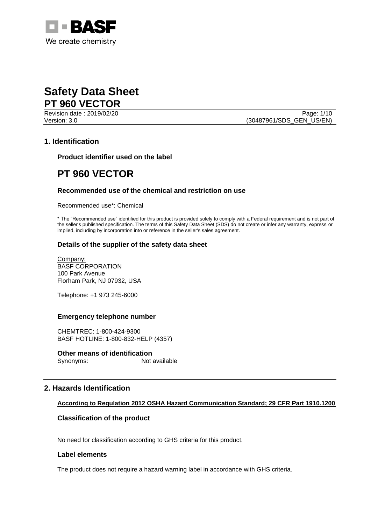

Revision date : 2019/02/20 Page: 1/10 Version: 3.0 **(30487961/SDS\_GEN\_US/EN)** 

# **1. Identification**

**Product identifier used on the label**

# **PT 960 VECTOR**

# **Recommended use of the chemical and restriction on use**

Recommended use\*: Chemical

\* The "Recommended use" identified for this product is provided solely to comply with a Federal requirement and is not part of the seller's published specification. The terms of this Safety Data Sheet (SDS) do not create or infer any warranty, express or implied, including by incorporation into or reference in the seller's sales agreement.

# **Details of the supplier of the safety data sheet**

Company: BASF CORPORATION 100 Park Avenue Florham Park, NJ 07932, USA

Telephone: +1 973 245-6000

# **Emergency telephone number**

CHEMTREC: 1-800-424-9300 BASF HOTLINE: 1-800-832-HELP (4357)

# **Other means of identification**<br>Synonyms: Not available

Synonyms:

# **2. Hazards Identification**

# **According to Regulation 2012 OSHA Hazard Communication Standard; 29 CFR Part 1910.1200**

# **Classification of the product**

No need for classification according to GHS criteria for this product.

## **Label elements**

The product does not require a hazard warning label in accordance with GHS criteria.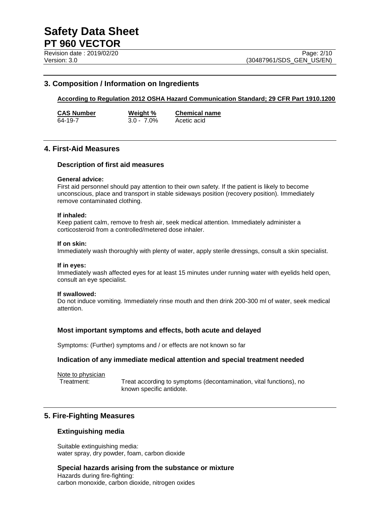# **3. Composition / Information on Ingredients**

# **According to Regulation 2012 OSHA Hazard Communication Standard; 29 CFR Part 1910.1200**

**CAS Number Weight % Chemical name** 64-19-7 3.0 - 7.0% Acetic acid

# **4. First-Aid Measures**

### **Description of first aid measures**

#### **General advice:**

First aid personnel should pay attention to their own safety. If the patient is likely to become unconscious, place and transport in stable sideways position (recovery position). Immediately remove contaminated clothing.

#### **If inhaled:**

Keep patient calm, remove to fresh air, seek medical attention. Immediately administer a corticosteroid from a controlled/metered dose inhaler.

#### **If on skin:**

Immediately wash thoroughly with plenty of water, apply sterile dressings, consult a skin specialist.

#### **If in eyes:**

Immediately wash affected eyes for at least 15 minutes under running water with eyelids held open, consult an eye specialist.

#### **If swallowed:**

Do not induce vomiting. Immediately rinse mouth and then drink 200-300 ml of water, seek medical attention.

### **Most important symptoms and effects, both acute and delayed**

Symptoms: (Further) symptoms and / or effects are not known so far

### **Indication of any immediate medical attention and special treatment needed**

Note to physician

Treatment: Treat according to symptoms (decontamination, vital functions), no known specific antidote.

# **5. Fire-Fighting Measures**

#### **Extinguishing media**

Suitable extinguishing media: water spray, dry powder, foam, carbon dioxide

# **Special hazards arising from the substance or mixture**

Hazards during fire-fighting: carbon monoxide, carbon dioxide, nitrogen oxides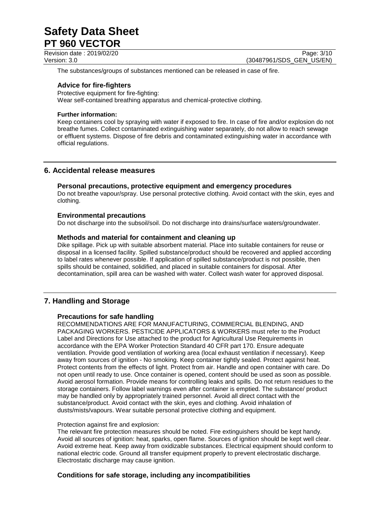The substances/groups of substances mentioned can be released in case of fire.

# **Advice for fire-fighters**

Protective equipment for fire-fighting: Wear self-contained breathing apparatus and chemical-protective clothing.

# **Further information:**

Keep containers cool by spraying with water if exposed to fire. In case of fire and/or explosion do not breathe fumes. Collect contaminated extinguishing water separately, do not allow to reach sewage or effluent systems. Dispose of fire debris and contaminated extinguishing water in accordance with official regulations.

# **6. Accidental release measures**

# **Personal precautions, protective equipment and emergency procedures**

Do not breathe vapour/spray. Use personal protective clothing. Avoid contact with the skin, eyes and clothing.

# **Environmental precautions**

Do not discharge into the subsoil/soil. Do not discharge into drains/surface waters/groundwater.

# **Methods and material for containment and cleaning up**

Dike spillage. Pick up with suitable absorbent material. Place into suitable containers for reuse or disposal in a licensed facility. Spilled substance/product should be recovered and applied according to label rates whenever possible. If application of spilled substance/product is not possible, then spills should be contained, solidified, and placed in suitable containers for disposal. After decontamination, spill area can be washed with water. Collect wash water for approved disposal.

# **7. Handling and Storage**

### **Precautions for safe handling**

RECOMMENDATIONS ARE FOR MANUFACTURING, COMMERCIAL BLENDING, AND PACKAGING WORKERS. PESTICIDE APPLICATORS & WORKERS must refer to the Product Label and Directions for Use attached to the product for Agricultural Use Requirements in accordance with the EPA Worker Protection Standard 40 CFR part 170. Ensure adequate ventilation. Provide good ventilation of working area (local exhaust ventilation if necessary). Keep away from sources of ignition - No smoking. Keep container tightly sealed. Protect against heat. Protect contents from the effects of light. Protect from air. Handle and open container with care. Do not open until ready to use. Once container is opened, content should be used as soon as possible. Avoid aerosol formation. Provide means for controlling leaks and spills. Do not return residues to the storage containers. Follow label warnings even after container is emptied. The substance/ product may be handled only by appropriately trained personnel. Avoid all direct contact with the substance/product. Avoid contact with the skin, eyes and clothing. Avoid inhalation of dusts/mists/vapours. Wear suitable personal protective clothing and equipment.

### Protection against fire and explosion:

The relevant fire protection measures should be noted. Fire extinguishers should be kept handy. Avoid all sources of ignition: heat, sparks, open flame. Sources of ignition should be kept well clear. Avoid extreme heat. Keep away from oxidizable substances. Electrical equipment should conform to national electric code. Ground all transfer equipment properly to prevent electrostatic discharge. Electrostatic discharge may cause ignition.

# **Conditions for safe storage, including any incompatibilities**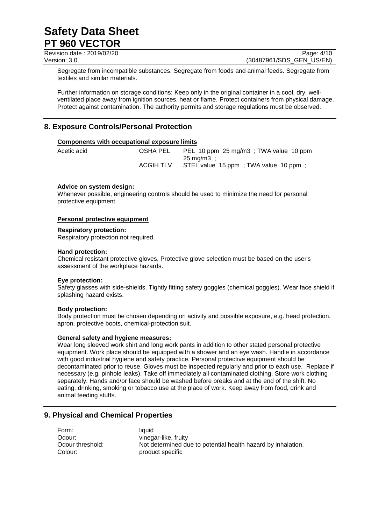Revision date : 2019/02/20 Page: 4/10<br>
Version: 3.0 (30487961/SDS\_GEN\_US/EN)

(30487961/SDS\_GEN\_US/EN)

Segregate from incompatible substances. Segregate from foods and animal feeds. Segregate from textiles and similar materials.

Further information on storage conditions: Keep only in the original container in a cool, dry, wellventilated place away from ignition sources, heat or flame. Protect containers from physical damage. Protect against contamination. The authority permits and storage regulations must be observed.

# **8. Exposure Controls/Personal Protection**

# **Components with occupational exposure limits**

| Acetic acid | OSHA PEL  | PEL 10 ppm 25 mg/m3; TWA value 10 ppm |
|-------------|-----------|---------------------------------------|
|             |           | $25 \text{ ma/m3}$ :                  |
|             | ACGIH TLV | STEL value 15 ppm; TWA value 10 ppm;  |

# **Advice on system design:**

Whenever possible, engineering controls should be used to minimize the need for personal protective equipment.

### **Personal protective equipment**

#### **Respiratory protection:**

Respiratory protection not required.

### **Hand protection:**

Chemical resistant protective gloves, Protective glove selection must be based on the user's assessment of the workplace hazards.

### **Eye protection:**

Safety glasses with side-shields. Tightly fitting safety goggles (chemical goggles). Wear face shield if splashing hazard exists.

### **Body protection:**

Body protection must be chosen depending on activity and possible exposure, e.g. head protection, apron, protective boots, chemical-protection suit.

### **General safety and hygiene measures:**

Wear long sleeved work shirt and long work pants in addition to other stated personal protective equipment. Work place should be equipped with a shower and an eye wash. Handle in accordance with good industrial hygiene and safety practice. Personal protective equipment should be decontaminated prior to reuse. Gloves must be inspected regularly and prior to each use. Replace if necessary (e.g. pinhole leaks). Take off immediately all contaminated clothing. Store work clothing separately. Hands and/or face should be washed before breaks and at the end of the shift. No eating, drinking, smoking or tobacco use at the place of work. Keep away from food, drink and animal feeding stuffs.

# **9. Physical and Chemical Properties**

| Form:            | liauid                                                       |
|------------------|--------------------------------------------------------------|
| Odour:           | vinegar-like, fruity                                         |
| Odour threshold: | Not determined due to potential health hazard by inhalation. |
| Colour:          | product specific                                             |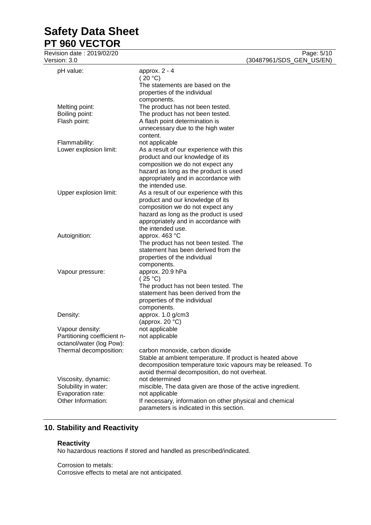# **Safety Data Sheet**

**PT 960 VECTOR**

| Revision date : 2019/02/20  |                                                                                                                          | Page: 5/10               |
|-----------------------------|--------------------------------------------------------------------------------------------------------------------------|--------------------------|
| Version: 3.0                |                                                                                                                          | (30487961/SDS_GEN_US/EN) |
| pH value:                   | approx. $2 - 4$                                                                                                          |                          |
|                             | (20 °C)                                                                                                                  |                          |
|                             | The statements are based on the                                                                                          |                          |
|                             | properties of the individual                                                                                             |                          |
|                             | components.                                                                                                              |                          |
| Melting point:              | The product has not been tested.                                                                                         |                          |
| Boiling point:              | The product has not been tested.                                                                                         |                          |
| Flash point:                | A flash point determination is                                                                                           |                          |
|                             | unnecessary due to the high water                                                                                        |                          |
|                             | content.                                                                                                                 |                          |
| Flammability:               | not applicable                                                                                                           |                          |
| Lower explosion limit:      | As a result of our experience with this                                                                                  |                          |
|                             | product and our knowledge of its                                                                                         |                          |
|                             | composition we do not expect any                                                                                         |                          |
|                             | hazard as long as the product is used                                                                                    |                          |
|                             | appropriately and in accordance with                                                                                     |                          |
|                             | the intended use.                                                                                                        |                          |
| Upper explosion limit:      | As a result of our experience with this                                                                                  |                          |
|                             | product and our knowledge of its<br>composition we do not expect any                                                     |                          |
|                             | hazard as long as the product is used                                                                                    |                          |
|                             | appropriately and in accordance with                                                                                     |                          |
|                             | the intended use.                                                                                                        |                          |
| Autoignition:               | approx. 463 °C                                                                                                           |                          |
|                             | The product has not been tested. The                                                                                     |                          |
|                             | statement has been derived from the                                                                                      |                          |
|                             | properties of the individual                                                                                             |                          |
|                             | components.                                                                                                              |                          |
| Vapour pressure:            | approx. 20.9 hPa                                                                                                         |                          |
|                             | (25 °C)                                                                                                                  |                          |
|                             | The product has not been tested. The                                                                                     |                          |
|                             | statement has been derived from the                                                                                      |                          |
|                             | properties of the individual                                                                                             |                          |
|                             | components.                                                                                                              |                          |
| Density:                    | approx. 1.0 g/cm3                                                                                                        |                          |
|                             | (approx. 20 $°C$ )                                                                                                       |                          |
| Vapour density:             | not applicable                                                                                                           |                          |
| Partitioning coefficient n- | not applicable                                                                                                           |                          |
| octanol/water (log Pow):    |                                                                                                                          |                          |
| Thermal decomposition:      | carbon monoxide, carbon dioxide                                                                                          |                          |
|                             | Stable at ambient temperature. If product is heated above<br>decomposition temperature toxic vapours may be released. To |                          |
|                             | avoid thermal decomposition, do not overheat.                                                                            |                          |
| Viscosity, dynamic:         | not determined                                                                                                           |                          |
| Solubility in water:        | miscible, The data given are those of the active ingredient.                                                             |                          |
| Evaporation rate:           | not applicable                                                                                                           |                          |
| Other Information:          | If necessary, information on other physical and chemical                                                                 |                          |
|                             | parameters is indicated in this section.                                                                                 |                          |
|                             |                                                                                                                          |                          |

# **10. Stability and Reactivity**

# **Reactivity**

No hazardous reactions if stored and handled as prescribed/indicated.

Corrosion to metals:

Corrosive effects to metal are not anticipated.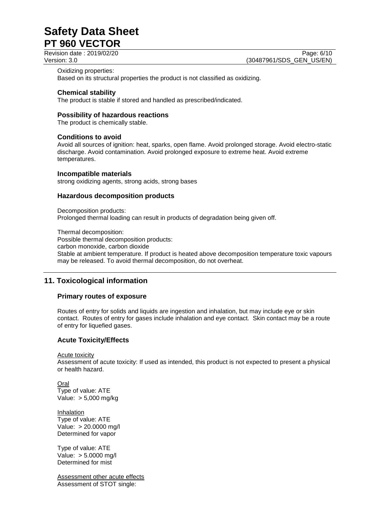Revision date : 2019/02/20 Page: 6/10<br>Version: 3.0 (30487961/SDS GEN US/EN) (30487961/SDS\_GEN\_US/EN)

#### Oxidizing properties:

Based on its structural properties the product is not classified as oxidizing.

### **Chemical stability**

The product is stable if stored and handled as prescribed/indicated.

### **Possibility of hazardous reactions**

The product is chemically stable.

# **Conditions to avoid**

Avoid all sources of ignition: heat, sparks, open flame. Avoid prolonged storage. Avoid electro-static discharge. Avoid contamination. Avoid prolonged exposure to extreme heat. Avoid extreme temperatures.

#### **Incompatible materials**

strong oxidizing agents, strong acids, strong bases

### **Hazardous decomposition products**

Decomposition products: Prolonged thermal loading can result in products of degradation being given off.

Thermal decomposition: Possible thermal decomposition products: carbon monoxide, carbon dioxide Stable at ambient temperature. If product is heated above decomposition temperature toxic vapours may be released. To avoid thermal decomposition, do not overheat.

# **11. Toxicological information**

# **Primary routes of exposure**

Routes of entry for solids and liquids are ingestion and inhalation, but may include eye or skin contact. Routes of entry for gases include inhalation and eye contact. Skin contact may be a route of entry for liquefied gases.

# **Acute Toxicity/Effects**

Acute toxicity

Assessment of acute toxicity: If used as intended, this product is not expected to present a physical or health hazard.

Oral Type of value: ATE Value: > 5,000 mg/kg

**Inhalation** Type of value: ATE Value: > 20.0000 mg/l Determined for vapor

Type of value: ATE Value: > 5.0000 mg/l Determined for mist

Assessment other acute effects Assessment of STOT single: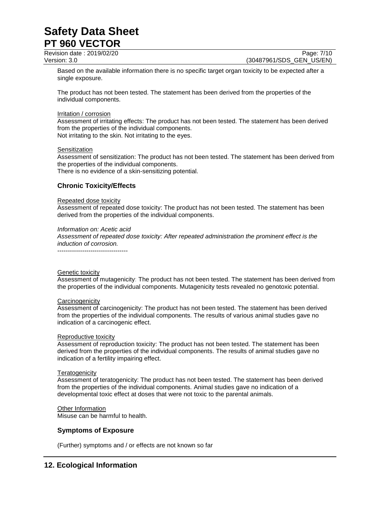Revision date : 2019/02/20 Page: 7/10<br>Version: 3.0 (30487961/SDS\_GEN\_US/EN)

(30487961/SDS\_GEN\_US/EN)

Based on the available information there is no specific target organ toxicity to be expected after a single exposure.

The product has not been tested. The statement has been derived from the properties of the individual components.

### Irritation / corrosion

Assessment of irritating effects: The product has not been tested. The statement has been derived from the properties of the individual components. Not irritating to the skin. Not irritating to the eyes.

#### **Sensitization**

Assessment of sensitization: The product has not been tested. The statement has been derived from the properties of the individual components.

There is no evidence of a skin-sensitizing potential.

# **Chronic Toxicity/Effects**

#### Repeated dose toxicity

Assessment of repeated dose toxicity: The product has not been tested. The statement has been derived from the properties of the individual components.

#### *Information on: Acetic acid*

----------------------------------

*Assessment of repeated dose toxicity: After repeated administration the prominent effect is the induction of corrosion.*

# Genetic toxicity

Assessment of mutagenicity: The product has not been tested. The statement has been derived from the properties of the individual components. Mutagenicity tests revealed no genotoxic potential.

### **Carcinogenicity**

Assessment of carcinogenicity: The product has not been tested. The statement has been derived from the properties of the individual components. The results of various animal studies gave no indication of a carcinogenic effect.

#### Reproductive toxicity

Assessment of reproduction toxicity: The product has not been tested. The statement has been derived from the properties of the individual components. The results of animal studies gave no indication of a fertility impairing effect.

#### **Teratogenicity**

Assessment of teratogenicity: The product has not been tested. The statement has been derived from the properties of the individual components. Animal studies gave no indication of a developmental toxic effect at doses that were not toxic to the parental animals.

Other Information Misuse can be harmful to health.

# **Symptoms of Exposure**

(Further) symptoms and / or effects are not known so far

# **12. Ecological Information**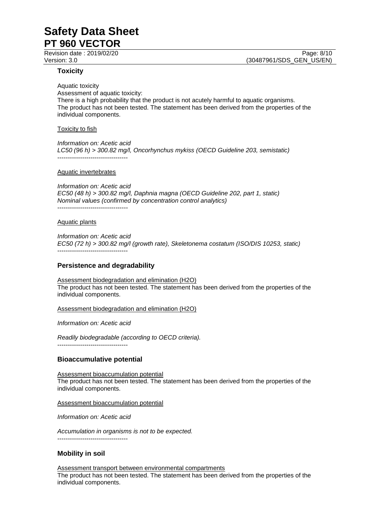Revision date : 2019/02/20 **Page: 8/10** Page: 8/10

**Toxicity**

Aquatic toxicity Assessment of aquatic toxicity: There is a high probability that the product is not acutely harmful to aquatic organisms. The product has not been tested. The statement has been derived from the properties of the individual components.

#### Toxicity to fish

*Information on: Acetic acid LC50 (96 h) > 300.82 mg/l, Oncorhynchus mykiss (OECD Guideline 203, semistatic)* ----------------------------------

#### Aquatic invertebrates

*Information on: Acetic acid EC50 (48 h) > 300.82 mg/l, Daphnia magna (OECD Guideline 202, part 1, static) Nominal values (confirmed by concentration control analytics)* ----------------------------------

#### Aquatic plants

*Information on: Acetic acid EC50 (72 h) > 300.82 mg/l (growth rate), Skeletonema costatum (ISO/DIS 10253, static)* ----------------------------------

#### **Persistence and degradability**

Assessment biodegradation and elimination (H2O) The product has not been tested. The statement has been derived from the properties of the individual components.

Assessment biodegradation and elimination (H2O)

*Information on: Acetic acid*

*Readily biodegradable (according to OECD criteria).* ----------------------------------

#### **Bioaccumulative potential**

Assessment bioaccumulation potential The product has not been tested. The statement has been derived from the properties of the individual components.

Assessment bioaccumulation potential

*Information on: Acetic acid*

*Accumulation in organisms is not to be expected.* ----------------------------------

### **Mobility in soil**

Assessment transport between environmental compartments The product has not been tested. The statement has been derived from the properties of the individual components.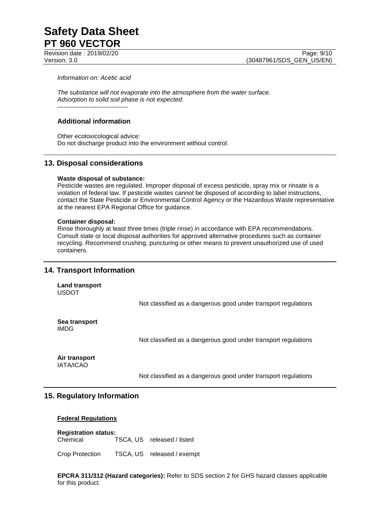*Information on: Acetic acid*

*The substance will not evaporate into the atmosphere from the water surface. Adsorption to solid soil phase is not expected.* ----------------------------------

# **Additional information**

Other ecotoxicological advice: Do not discharge product into the environment without control.

# **13. Disposal considerations**

### **Waste disposal of substance:**

Pesticide wastes are regulated. Improper disposal of excess pesticide, spray mix or rinsate is a violation of federal law. If pesticide wastes cannot be disposed of according to label instructions, contact the State Pesticide or Environmental Control Agency or the Hazardous Waste representative at the nearest EPA Regional Office for guidance.

#### **Container disposal:**

Rinse thoroughly at least three times (triple rinse) in accordance with EPA recommendations. Consult state or local disposal authorities for approved alternative procedures such as container recycling. Recommend crushing, puncturing or other means to prevent unauthorized use of used containers.

# **14. Transport Information**

**Land transport** USDOT

Not classified as a dangerous good under transport regulations

**Sea transport** IMDG

Not classified as a dangerous good under transport regulations

**Air transport** IATA/ICAO

Not classified as a dangerous good under transport regulations

# **15. Regulatory Information**

### **Federal Regulations**

**Registration status:** Chemical TSCA, US released / listed

Crop Protection TSCA, US released / exempt

**EPCRA 311/312 (Hazard categories):** Refer to SDS section 2 for GHS hazard classes applicable for this product.